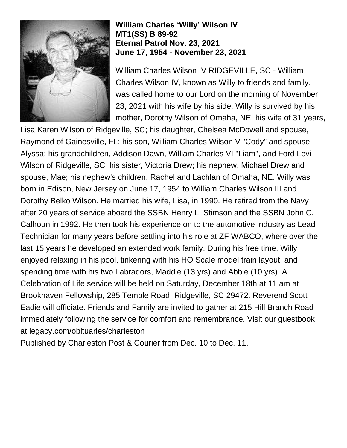

## **William Charles 'Willy' Wilson IV MT1(SS) B 89-92 Eternal Patrol Nov. 23, 2021 June 17, 1954 - November 23, 2021**

William Charles Wilson IV RIDGEVILLE, SC - William Charles Wilson IV, known as Willy to friends and family, was called home to our Lord on the morning of November 23, 2021 with his wife by his side. Willy is survived by his mother, Dorothy Wilson of Omaha, NE; his wife of 31 years,

Lisa Karen Wilson of Ridgeville, SC; his daughter, Chelsea McDowell and spouse, Raymond of Gainesville, FL; his son, William Charles Wilson V "Cody" and spouse, Alyssa; his grandchildren, Addison Dawn, William Charles VI "Liam", and Ford Levi Wilson of Ridgeville, SC; his sister, Victoria Drew; his nephew, Michael Drew and spouse, Mae; his nephew's children, Rachel and Lachlan of Omaha, NE. Willy was born in Edison, New Jersey on June 17, 1954 to William Charles Wilson III and Dorothy Belko Wilson. He married his wife, Lisa, in 1990. He retired from the Navy after 20 years of service aboard the SSBN Henry L. Stimson and the SSBN John C. Calhoun in 1992. He then took his experience on to the automotive industry as Lead Technician for many years before settling into his role at ZF WABCO, where over the last 15 years he developed an extended work family. During his free time, Willy enjoyed relaxing in his pool, tinkering with his HO Scale model train layout, and spending time with his two Labradors, Maddie (13 yrs) and Abbie (10 yrs). A Celebration of Life service will be held on Saturday, December 18th at 11 am at Brookhaven Fellowship, 285 Temple Road, Ridgeville, SC 29472. Reverend Scott Eadie will officiate. Friends and Family are invited to gather at 215 Hill Branch Road immediately following the service for comfort and remembrance. Visit our guestbook at [legacy.com/obituaries/charleston](http://legacy.com/obituaries/charleston)

Published by Charleston Post & Courier from Dec. 10 to Dec. 11,